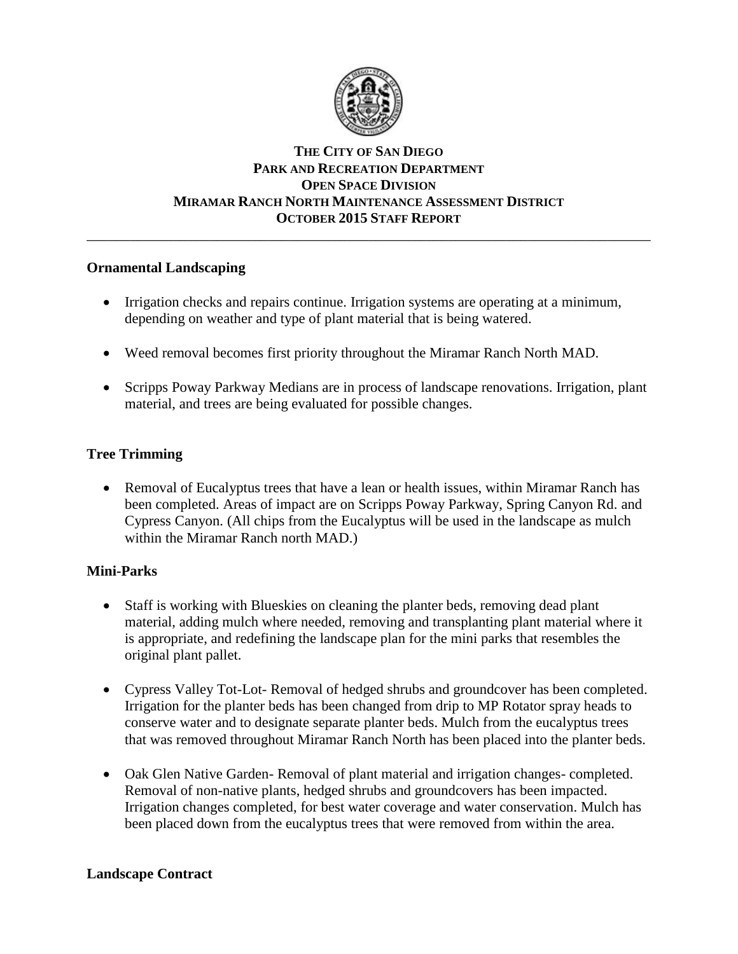

# **THE CITY OF SAN DIEGO PARK AND RECREATION DEPARTMENT OPEN SPACE DIVISION MIRAMAR RANCH NORTH MAINTENANCE ASSESSMENT DISTRICT OCTOBER 2015 STAFF REPORT**

\_\_\_\_\_\_\_\_\_\_\_\_\_\_\_\_\_\_\_\_\_\_\_\_\_\_\_\_\_\_\_\_\_\_\_\_\_\_\_\_\_\_\_\_\_\_\_\_\_\_\_\_\_\_\_\_\_\_\_\_\_\_\_\_\_\_\_\_\_\_\_\_\_\_\_\_\_\_

# **Ornamental Landscaping**

- Irrigation checks and repairs continue. Irrigation systems are operating at a minimum, depending on weather and type of plant material that is being watered.
- Weed removal becomes first priority throughout the Miramar Ranch North MAD.
- Scripps Poway Parkway Medians are in process of landscape renovations. Irrigation, plant material, and trees are being evaluated for possible changes.

# **Tree Trimming**

• Removal of Eucalyptus trees that have a lean or health issues, within Miramar Ranch has been completed. Areas of impact are on Scripps Poway Parkway, Spring Canyon Rd. and Cypress Canyon. (All chips from the Eucalyptus will be used in the landscape as mulch within the Miramar Ranch north MAD.)

# **Mini-Parks**

- Staff is working with Blueskies on cleaning the planter beds, removing dead plant material, adding mulch where needed, removing and transplanting plant material where it is appropriate, and redefining the landscape plan for the mini parks that resembles the original plant pallet.
- Cypress Valley Tot-Lot- Removal of hedged shrubs and groundcover has been completed. Irrigation for the planter beds has been changed from drip to MP Rotator spray heads to conserve water and to designate separate planter beds. Mulch from the eucalyptus trees that was removed throughout Miramar Ranch North has been placed into the planter beds.
- Oak Glen Native Garden- Removal of plant material and irrigation changes- completed. Removal of non-native plants, hedged shrubs and groundcovers has been impacted. Irrigation changes completed, for best water coverage and water conservation. Mulch has been placed down from the eucalyptus trees that were removed from within the area.

# **Landscape Contract**